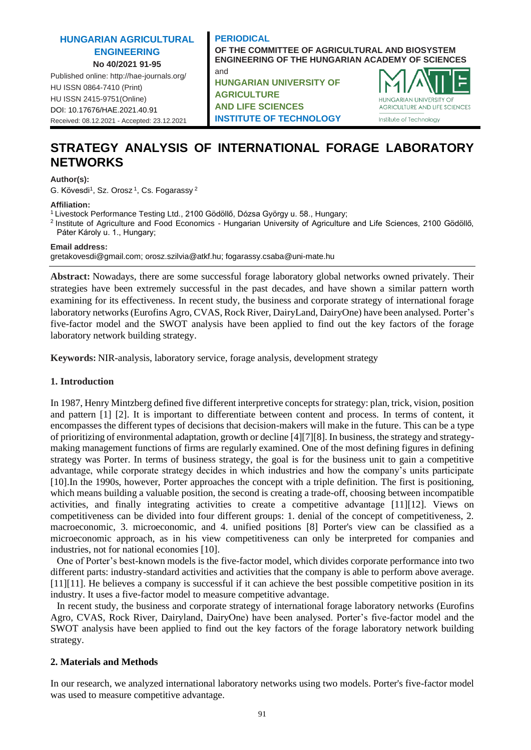## **HUNGARIAN AGRICULTURAL ENGINEERING No 40/2021 91-95**

Published online: http://hae-journals.org/ HU ISSN 0864-7410 (Print) HU ISSN 2415-9751(Online) [DOI: 10.17676/HAE.2021.40.91](https://doi.org/10.17676/HAE.2021.40.91) Received: 08.12.2021 - Accepted: 23.12.2021

### **PERIODICAL OF THE COMMITTEE OF AGRICULTURAL AND BIOSYSTEM ENGINEERING OF THE HUNGARIAN ACADEMY OF SCIENCES**

**HUNGARIAN UNIVERSITY OF AGRICULTURE AND LIFE SCIENCES INSTITUTE OF TECHNOLOGY**



# **STRATEGY ANALYSIS OF INTERNATIONAL FORAGE LABORATORY NETWORKS**

#### **Author(s):**

G. Kövesdi<sup>1</sup>, Sz. Orosz<sup>1</sup>, Cs. Fogarassy<sup>2</sup>

#### **Affiliation:**

<sup>1</sup>Livestock Performance Testing Ltd., 2100 Gödöllő, Dózsa György u. 58., Hungary;

and

<sup>2</sup> Institute of Agriculture and Food Economics - Hungarian University of Agriculture and Life Sciences, 2100 Gödöllő, Páter Károly u. 1., Hungary;

**Email address:**

gretakovesdi@gmail.com; [orosz.szilvia@atkf.hu;](mailto:rosz.szilvia@atkf.hu) fogarassy.csaba@uni-mate.hu

**Abstract:** Nowadays, there are some successful forage laboratory global networks owned privately. Their strategies have been extremely successful in the past decades, and have shown a similar pattern worth examining for its effectiveness. In recent study, the business and corporate strategy of international forage laboratory networks (Eurofins Agro, CVAS, Rock River, DairyLand, DairyOne) have been analysed. Porter's five-factor model and the SWOT analysis have been applied to find out the key factors of the forage laboratory network building strategy.

**Keywords:** NIR-analysis, laboratory service, forage analysis, development strategy

### **1. Introduction**

In 1987, Henry Mintzberg defined five different interpretive concepts for strategy: plan, trick, vision, position and pattern [\[1\]](#page-4-0) [\[2\].](#page-4-1) It is important to differentiate between content and process. In terms of content, it encompasses the different types of decisions that decision-makers will make in the future. This can be a type of prioritizing of environmental adaptation, growth or decline [\[4\]](#page-4-2)[\[7\]](#page-4-3)[\[8\].](#page-4-4) In business, the strategy and strategymaking management functions of firms are regularly examined. One of the most defining figures in defining strategy was Porter. In terms of business strategy, the goal is for the business unit to gain a competitive advantage, while corporate strategy decides in which industries and how the company's units participate [\[10\].](#page-4-5)In the 1990s, however, Porter approaches the concept with a triple definition. The first is positioning, which means building a valuable position, the second is creating a trade-off, choosing between incompatible activities, and finally integrating activities to create a competitive advantage [\[11\]](#page-4-6)[\[12\].](#page-4-7) Views on competitiveness can be divided into four different groups: 1. denial of the concept of competitiveness, 2. macroeconomic, 3. microeconomic, and 4. unified positions [\[8\]](#page-4-4) Porter's view can be classified as a microeconomic approach, as in his view competitiveness can only be interpreted for companies and industries, not for national economies [\[10\].](#page-4-5)

One of Porter's best-known models is the five-factor model, which divides corporate performance into two different parts: industry-standard activities and activities that the company is able to perform above average. [\[11\]\[11\].](#page-4-6) He believes a company is successful if it can achieve the best possible competitive position in its industry. It uses a five-factor model to measure competitive advantage.

In recent study, the business and corporate strategy of international forage laboratory networks (Eurofins Agro, CVAS, Rock River, Dairyland, DairyOne) have been analysed. Porter's five-factor model and the SWOT analysis have been applied to find out the key factors of the forage laboratory network building strategy.

### **2. Materials and Methods**

In our research, we analyzed international laboratory networks using two models. Porter's five-factor model was used to measure competitive advantage.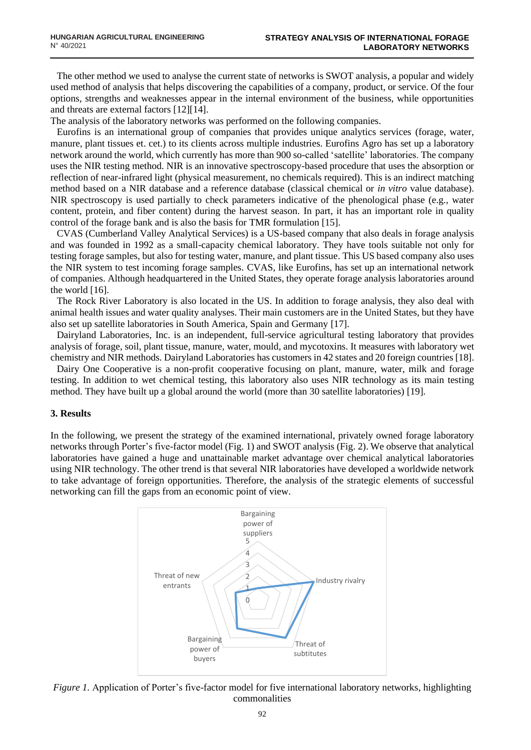The other method we used to analyse the current state of networks is SWOT analysis, a popular and widely used method of analysis that helps discovering the capabilities of a company, product, or service. Of the four options, strengths and weaknesses appear in the internal environment of the business, while opportunities and threats are external factors [\[12\]](#page-4-7)[\[14\].](#page-4-8)

The analysis of the laboratory networks was performed on the following companies.

Eurofins is an international group of companies that provides unique analytics services (forage, water, manure, plant tissues et. cet.) to its clients across multiple industries. Eurofins Agro has set up a laboratory network around the world, which currently has more than 900 so-called 'satellite' laboratories. The company uses the NIR testing method. NIR is an innovative spectroscopy-based procedure that uses the absorption or reflection of near-infrared light (physical measurement, no chemicals required). This is an indirect matching method based on a NIR database and a reference database (classical chemical or *in vitro* value database). NIR spectroscopy is used partially to check parameters indicative of the phenological phase (e.g., water content, protein, and fiber content) during the harvest season. In part, it has an important role in quality control of the forage bank and is also the basis for TMR formulation [\[15\].](#page-4-9)

CVAS (Cumberland Valley Analytical Services) is a US-based company that also deals in forage analysis and was founded in 1992 as a small-capacity chemical laboratory. They have tools suitable not only for testing forage samples, but also for testing water, manure, and plant tissue. This US based company also uses the NIR system to test incoming forage samples. CVAS, like Eurofins, has set up an international network of companies. Although headquartered in the United States, they operate forage analysis laboratories around the world [\[16\].](#page-4-10)

The Rock River Laboratory is also located in the US. In addition to forage analysis, they also deal with animal health issues and water quality analyses. Their main customers are in the United States, but they have also set up satellite laboratories in South America, Spain and Germany [\[17\].](#page-4-11)

Dairyland Laboratories, Inc. is an independent, full-service agricultural testing laboratory that provides analysis of forage, soil, plant tissue, manure, water, mould, and mycotoxins. It measures with laboratory wet chemistry and NIR methods. Dairyland Laboratories has customers in 42 states and 20 foreign countrie[s \[18\].](#page-4-12)

Dairy One Cooperative is a non-profit cooperative focusing on plant, manure, water, milk and forage testing. In addition to wet chemical testing, this laboratory also uses NIR technology as its main testing method. They have built up a global around the world (more than 30 satellite laboratories) [\[19\].](#page-4-13)

### **3. Results**

In the following, we present the strategy of the examined international, privately owned forage laboratory networks through Porter's five-factor model (Fig. 1) and SWOT analysis (Fig. 2). We observe that analytical laboratories have gained a huge and unattainable market advantage over chemical analytical laboratories using NIR technology. The other trend is that several NIR laboratories have developed a worldwide network to take advantage of foreign opportunities. Therefore, the analysis of the strategic elements of successful networking can fill the gaps from an economic point of view.



*Figure 1.* Application of Porter's five-factor model for five international laboratory networks, highlighting commonalities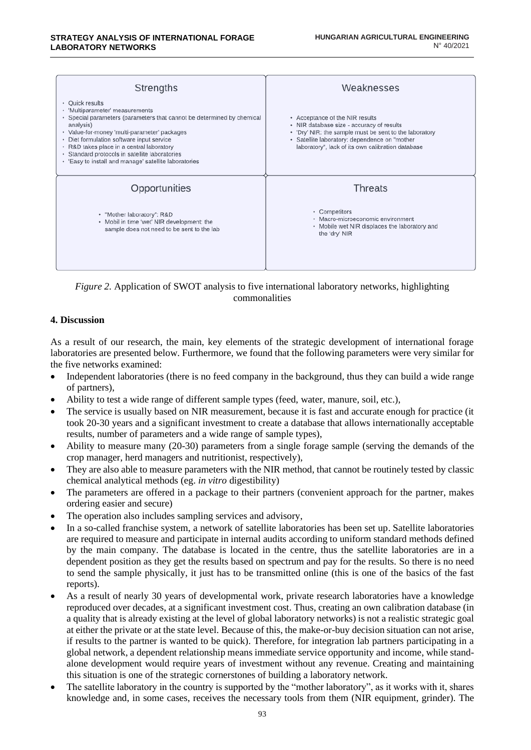| Strengths                                                                                                                                                                                                                                                                                                                                                                                         | Weaknesses                                                                                                                                                                                                                                   |
|---------------------------------------------------------------------------------------------------------------------------------------------------------------------------------------------------------------------------------------------------------------------------------------------------------------------------------------------------------------------------------------------------|----------------------------------------------------------------------------------------------------------------------------------------------------------------------------------------------------------------------------------------------|
| • Ouick results<br>• 'Multiparameter' measurements<br>• Special parameters (parameters that cannot be determined by chemical<br>analysis)<br>• Value-for-money 'multi-parameter' packages<br>• Diet formulation software input service<br>• R&D takes place in a central laboratory<br>Standard protocols in satellite laboratories<br>٠<br>• 'Easy to install and manage' satellite laboratories | • Acceptance of the NIR results<br>• NIR database size - accuracy of results<br>• 'Dry' NIR: the sample must be sent to the laboratory<br>· Satellite laboratory: dependence on "mother<br>laboratory", lack of its own calibration database |
| Opportunities                                                                                                                                                                                                                                                                                                                                                                                     | Threats                                                                                                                                                                                                                                      |
| • "Mother laboratory": R&D<br>• Mobil in time 'wet' NIR development: the<br>sample does not need to be sent to the lab                                                                                                                                                                                                                                                                            | • Competitors<br>· Macro-microeconomic environment<br>• Mobile wet NIR displaces the laboratory and<br>the 'dry' NIR                                                                                                                         |

*Figure 2.* Application of SWOT analysis to five international laboratory networks, highlighting commonalities

### **4. Discussion**

As a result of our research, the main, key elements of the strategic development of international forage laboratories are presented below. Furthermore, we found that the following parameters were very similar for the five networks examined:

- Independent laboratories (there is no feed company in the background, thus they can build a wide range of partners),
- Ability to test a wide range of different sample types (feed, water, manure, soil, etc.),
- The service is usually based on NIR measurement, because it is fast and accurate enough for practice (it took 20-30 years and a significant investment to create a database that allows internationally acceptable results, number of parameters and a wide range of sample types),
- Ability to measure many (20-30) parameters from a single forage sample (serving the demands of the crop manager, herd managers and nutritionist, respectively),
- They are also able to measure parameters with the NIR method, that cannot be routinely tested by classic chemical analytical methods (eg. *in vitro* digestibility)
- The parameters are offered in a package to their partners (convenient approach for the partner, makes ordering easier and secure)
- The operation also includes sampling services and advisory,
- In a so-called franchise system, a network of satellite laboratories has been set up. Satellite laboratories are required to measure and participate in internal audits according to uniform standard methods defined by the main company. The database is located in the centre, thus the satellite laboratories are in a dependent position as they get the results based on spectrum and pay for the results. So there is no need to send the sample physically, it just has to be transmitted online (this is one of the basics of the fast reports).
- As a result of nearly 30 years of developmental work, private research laboratories have a knowledge reproduced over decades, at a significant investment cost. Thus, creating an own calibration database (in a quality that is already existing at the level of global laboratory networks) is not a realistic strategic goal at either the private or at the state level. Because of this, the make-or-buy decision situation can not arise, if results to the partner is wanted to be quick). Therefore, for integration lab partners participating in a global network, a dependent relationship means immediate service opportunity and income, while standalone development would require years of investment without any revenue. Creating and maintaining this situation is one of the strategic cornerstones of building a laboratory network.
- The satellite laboratory in the country is supported by the "mother laboratory", as it works with it, shares knowledge and, in some cases, receives the necessary tools from them (NIR equipment, grinder). The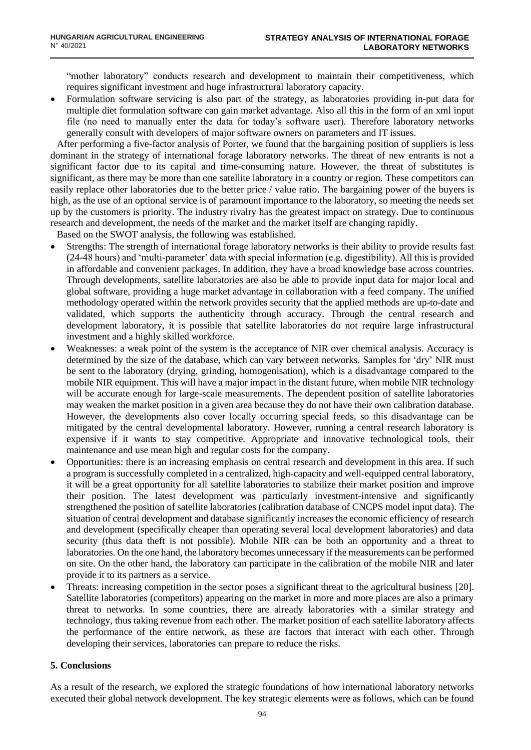"mother laboratory" conducts research and development to maintain their competitiveness, which requires significant investment and huge infrastructural laboratory capacity.

• Formulation software servicing is also part of the strategy, as laboratories providing in-put data for multiple diet formulation software can gain market advantage. Also all this in the form of an xml input file (no need to manually enter the data for today's software user). Therefore laboratory networks generally consult with developers of major software owners on parameters and IT issues.

After performing a five-factor analysis of Porter, we found that the bargaining position of suppliers is less dominant in the strategy of international forage laboratory networks. The threat of new entrants is not a significant factor due to its capital and time-consuming nature. However, the threat of substitutes is significant, as there may be more than one satellite laboratory in a country or region. These competitors can easily replace other laboratories due to the better price / value ratio. The bargaining power of the buyers is high, as the use of an optional service is of paramount importance to the laboratory, so meeting the needs set up by the customers is priority. The industry rivalry has the greatest impact on strategy. Due to continuous research and development, the needs of the market and the market itself are changing rapidly.

Based on the SWOT analysis, the following was established.

- Strengths: The strength of international forage laboratory networks is their ability to provide results fast (24-48 hours) and 'multi-parameter' data with special information (e.g. digestibility). All this is provided in affordable and convenient packages. In addition, they have a broad knowledge base across countries. Through developments, satellite laboratories are also be able to provide input data for major local and global software, providing a huge market advantage in collaboration with a feed company. The unified methodology operated within the network provides security that the applied methods are up-to-date and validated, which supports the authenticity through accuracy. Through the central research and development laboratory, it is possible that satellite laboratories do not require large infrastructural investment and a highly skilled workforce.
- Weaknesses: a weak point of the system is the acceptance of NIR over chemical analysis. Accuracy is determined by the size of the database, which can vary between networks. Samples for 'dry' NIR must be sent to the laboratory (drying, grinding, homogenisation), which is a disadvantage compared to the mobile NIR equipment. This will have a major impact in the distant future, when mobile NIR technology will be accurate enough for large-scale measurements. The dependent position of satellite laboratories may weaken the market position in a given area because they do not have their own calibration database. However, the developments also cover locally occurring special feeds, so this disadvantage can be mitigated by the central developmental laboratory. However, running a central research laboratory is expensive if it wants to stay competitive. Appropriate and innovative technological tools, their maintenance and use mean high and regular costs for the company.
- Opportunities: there is an increasing emphasis on central research and development in this area. If such a program is successfully completed in a centralized, high-capacity and well-equipped central laboratory, it will be a great opportunity for all satellite laboratories to stabilize their market position and improve their position. The latest development was particularly investment-intensive and significantly strengthened the position of satellite laboratories (calibration database of CNCPS model input data). The situation of central development and database significantly increases the economic efficiency of research and development (specifically cheaper than operating several local development laboratories) and data security (thus data theft is not possible). Mobile NIR can be both an opportunity and a threat to laboratories. On the one hand, the laboratory becomes unnecessary if the measurements can be performed on site. On the other hand, the laboratory can participate in the calibration of the mobile NIR and later provide it to its partners as a service.
- Threats: increasing competition in the sector poses a significant threat to the agricultural business [\[20\].](#page-4-14) Satellite laboratories (competitors) appearing on the market in more and more places are also a primary threat to networks. In some countries, there are already laboratories with a similar strategy and technology, thus taking revenue from each other. The market position of each satellite laboratory affects the performance of the entire network, as these are factors that interact with each other. Through developing their services, laboratories can prepare to reduce the risks.

### **5. Conclusions**

As a result of the research, we explored the strategic foundations of how international laboratory networks executed their global network development. The key strategic elements were as follows, which can be found